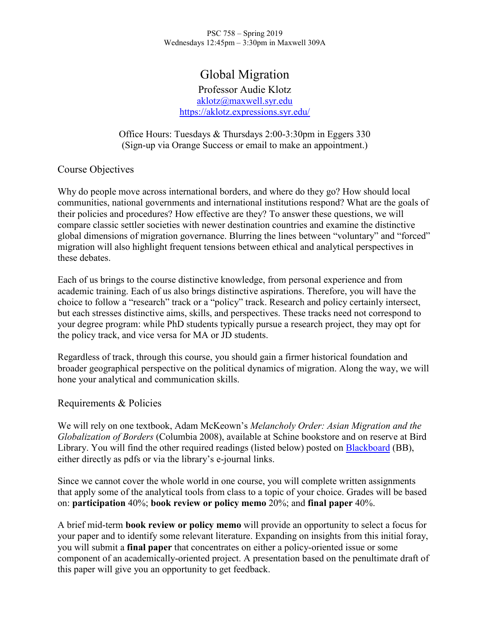PSC 758 – Spring 2019 Wednesdays 12:45pm – 3:30pm in Maxwell 309A

# Global Migration

Professor Audie Klotz [aklotz@maxwell.syr.edu](mailto:aklotz@maxwell.syr.edu) <https://aklotz.expressions.syr.edu/>

Office Hours: Tuesdays & Thursdays 2:00-3:30pm in Eggers 330 (Sign-up via Orange Success or email to make an appointment.)

## Course Objectives

Why do people move across international borders, and where do they go? How should local communities, national governments and international institutions respond? What are the goals of their policies and procedures? How effective are they? To answer these questions, we will compare classic settler societies with newer destination countries and examine the distinctive global dimensions of migration governance. Blurring the lines between "voluntary" and "forced" migration will also highlight frequent tensions between ethical and analytical perspectives in these debates.

Each of us brings to the course distinctive knowledge, from personal experience and from academic training. Each of us also brings distinctive aspirations. Therefore, you will have the choice to follow a "research" track or a "policy" track. Research and policy certainly intersect, but each stresses distinctive aims, skills, and perspectives. These tracks need not correspond to your degree program: while PhD students typically pursue a research project, they may opt for the policy track, and vice versa for MA or JD students.

Regardless of track, through this course, you should gain a firmer historical foundation and broader geographical perspective on the political dynamics of migration. Along the way, we will hone your analytical and communication skills.

## Requirements & Policies

We will rely on one textbook, Adam McKeown's *Melancholy Order: Asian Migration and the Globalization of Borders* (Columbia 2008), available at Schine bookstore and on reserve at Bird Library. You will find the other required readings (listed below) posted on Blackboard (BB), either directly as pdfs or via the library's e-journal links.

Since we cannot cover the whole world in one course, you will complete written assignments that apply some of the analytical tools from class to a topic of your choice. Grades will be based on: **participation** 40%; **book review or policy memo** 20%; and **final paper** 40%.

A brief mid-term **book review or policy memo** will provide an opportunity to select a focus for your paper and to identify some relevant literature. Expanding on insights from this initial foray, you will submit a **final paper** that concentrates on either a policy-oriented issue or some component of an academically-oriented project. A presentation based on the penultimate draft of this paper will give you an opportunity to get feedback.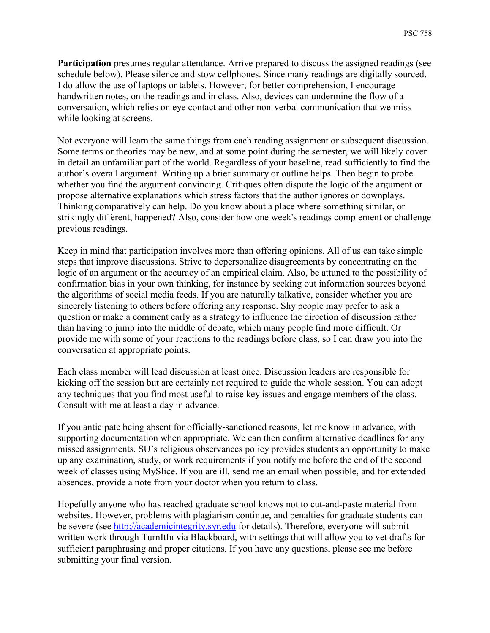**Participation** presumes regular attendance. Arrive prepared to discuss the assigned readings (see schedule below). Please silence and stow cellphones. Since many readings are digitally sourced, I do allow the use of laptops or tablets. However, for better comprehension, I encourage handwritten notes, on the readings and in class. Also, devices can undermine the flow of a conversation, which relies on eye contact and other non-verbal communication that we miss while looking at screens.

Not everyone will learn the same things from each reading assignment or subsequent discussion. Some terms or theories may be new, and at some point during the semester, we will likely cover in detail an unfamiliar part of the world. Regardless of your baseline, read sufficiently to find the author's overall argument. Writing up a brief summary or outline helps. Then begin to probe whether you find the argument convincing. Critiques often dispute the logic of the argument or propose alternative explanations which stress factors that the author ignores or downplays. Thinking comparatively can help. Do you know about a place where something similar, or strikingly different, happened? Also, consider how one week's readings complement or challenge previous readings.

Keep in mind that participation involves more than offering opinions. All of us can take simple steps that improve discussions. Strive to depersonalize disagreements by concentrating on the logic of an argument or the accuracy of an empirical claim. Also, be attuned to the possibility of confirmation bias in your own thinking, for instance by seeking out information sources beyond the algorithms of social media feeds. If you are naturally talkative, consider whether you are sincerely listening to others before offering any response. Shy people may prefer to ask a question or make a comment early as a strategy to influence the direction of discussion rather than having to jump into the middle of debate, which many people find more difficult. Or provide me with some of your reactions to the readings before class, so I can draw you into the conversation at appropriate points.

Each class member will lead discussion at least once. Discussion leaders are responsible for kicking off the session but are certainly not required to guide the whole session. You can adopt any techniques that you find most useful to raise key issues and engage members of the class. Consult with me at least a day in advance.

If you anticipate being absent for officially-sanctioned reasons, let me know in advance, with supporting documentation when appropriate. We can then confirm alternative deadlines for any missed assignments. SU's religious observances policy provides students an opportunity to make up any examination, study, or work requirements if you notify me before the end of the second week of classes using MySlice. If you are ill, send me an email when possible, and for extended absences, provide a note from your doctor when you return to class.

Hopefully anyone who has reached graduate school knows not to cut-and-paste material from websites. However, problems with plagiarism continue, and penalties for graduate students can be severe (see [http://academicintegrity.syr.edu](http://academicintegrity.syr.edu/) for details). Therefore, everyone will submit written work through TurnItIn via Blackboard, with settings that will allow you to vet drafts for sufficient paraphrasing and proper citations. If you have any questions, please see me before submitting your final version.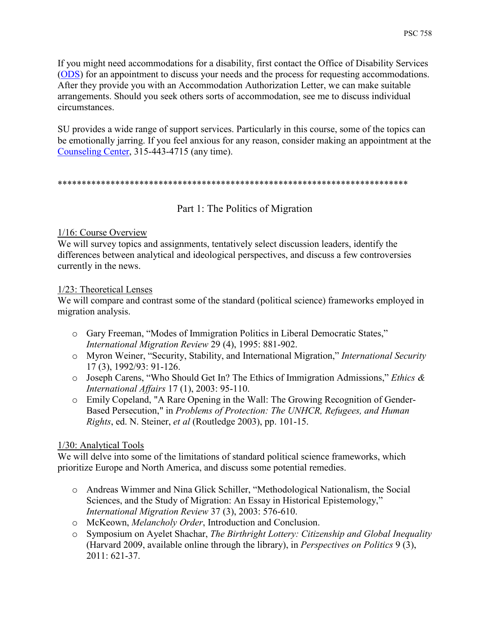If you might need accommodations for a disability, first contact the Office of Disability Services [\(ODS\)](http://disabilityservices.syr.edu/) for an appointment to discuss your needs and the process for requesting accommodations. After they provide you with an Accommodation Authorization Letter, we can make suitable arrangements. Should you seek others sorts of accommodation, see me to discuss individual circumstances.

SU provides a wide range of support services. Particularly in this course, some of the topics can be emotionally jarring. If you feel anxious for any reason, consider making an appointment at the [Counseling Center,](http://counselingcenter.syr.edu/mental-health/services.html) 315-443-4715 (any time).

#### \*\*\*\*\*\*\*\*\*\*\*\*\*\*\*\*\*\*\*\*\*\*\*\*\*\*\*\*\*\*\*\*\*\*\*\*\*\*\*\*\*\*\*\*\*\*\*\*\*\*\*\*\*\*\*\*\*\*\*\*\*\*\*\*\*\*\*\*\*\*\*\*\*

Part 1: The Politics of Migration

#### 1/16: Course Overview

We will survey topics and assignments, tentatively select discussion leaders, identify the differences between analytical and ideological perspectives, and discuss a few controversies currently in the news.

#### 1/23: Theoretical Lenses

We will compare and contrast some of the standard (political science) frameworks employed in migration analysis.

- o Gary Freeman, "Modes of Immigration Politics in Liberal Democratic States," *International Migration Review* 29 (4), 1995: 881-902.
- o Myron Weiner, "Security, Stability, and International Migration," *International Security* 17 (3), 1992/93: 91-126.
- o Joseph Carens, "Who Should Get In? The Ethics of Immigration Admissions," *Ethics & International Affairs* 17 (1), 2003: 95-110.
- o Emily Copeland, "A Rare Opening in the Wall: The Growing Recognition of Gender-Based Persecution," in *Problems of Protection: The UNHCR, Refugees, and Human Rights*, ed. N. Steiner, *et al* (Routledge 2003), pp. 101-15.

## 1/30: Analytical Tools

We will delve into some of the limitations of standard political science frameworks, which prioritize Europe and North America, and discuss some potential remedies.

- o Andreas Wimmer and Nina Glick Schiller, "Methodological Nationalism, the Social Sciences, and the Study of Migration: An Essay in Historical Epistemology," *International Migration Review* 37 (3), 2003: 576-610.
- o McKeown, *Melancholy Order*, Introduction and Conclusion.
- o Symposium on Ayelet Shachar, *The Birthright Lottery: Citizenship and Global Inequality*  (Harvard 2009, available online through the library), in *Perspectives on Politics* 9 (3), 2011: 621-37.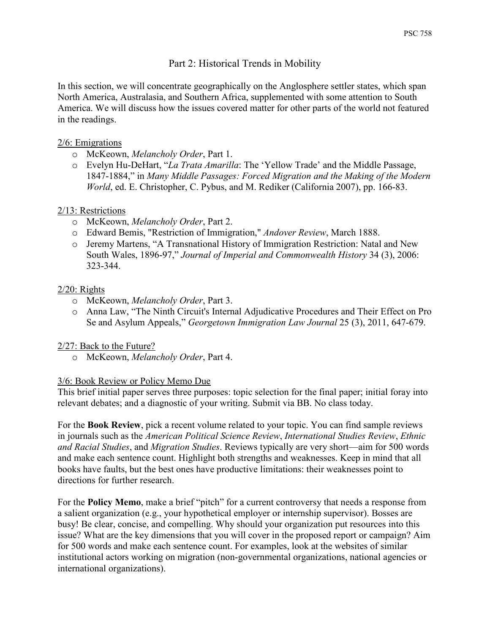# Part 2: Historical Trends in Mobility

In this section, we will concentrate geographically on the Anglosphere settler states, which span North America, Australasia, and Southern Africa, supplemented with some attention to South America. We will discuss how the issues covered matter for other parts of the world not featured in the readings.

#### 2/6: Emigrations

- o McKeown, *Melancholy Order*, Part 1.
- o Evelyn Hu-DeHart, "*La Trata Amarilla*: The 'Yellow Trade' and the Middle Passage, 1847-1884," in *Many Middle Passages: Forced Migration and the Making of the Modern World*, ed. E. Christopher, C. Pybus, and M. Rediker (California 2007), pp. 166-83.

## 2/13: Restrictions

- o McKeown, *Melancholy Order*, Part 2.
- o Edward Bemis, "Restriction of Immigration," *Andover Review*, March 1888.
- o Jeremy Martens, "A Transnational History of Immigration Restriction: Natal and New South Wales, 1896-97," *Journal of Imperial and Commonwealth History* 34 (3), 2006: 323-344.

#### 2/20: Rights

- o McKeown, *Melancholy Order*, Part 3.
- o Anna Law, "The Ninth Circuit's Internal Adjudicative Procedures and Their Effect on Pro Se and Asylum Appeals," *Georgetown Immigration Law Journal* 25 (3), 2011, 647-679.

## 2/27: Back to the Future?

o McKeown, *Melancholy Order*, Part 4.

## 3/6: Book Review or Policy Memo Due

This brief initial paper serves three purposes: topic selection for the final paper; initial foray into relevant debates; and a diagnostic of your writing. Submit via BB. No class today.

For the **Book Review**, pick a recent volume related to your topic. You can find sample reviews in journals such as the *American Political Science Review*, *International Studies Review*, *Ethnic and Racial Studies*, and *Migration Studies*. Reviews typically are very short—aim for 500 words and make each sentence count. Highlight both strengths and weaknesses. Keep in mind that all books have faults, but the best ones have productive limitations: their weaknesses point to directions for further research.

For the **Policy Memo**, make a brief "pitch" for a current controversy that needs a response from a salient organization (e.g., your hypothetical employer or internship supervisor). Bosses are busy! Be clear, concise, and compelling. Why should your organization put resources into this issue? What are the key dimensions that you will cover in the proposed report or campaign? Aim for 500 words and make each sentence count. For examples, look at the websites of similar institutional actors working on migration (non-governmental organizations, national agencies or international organizations).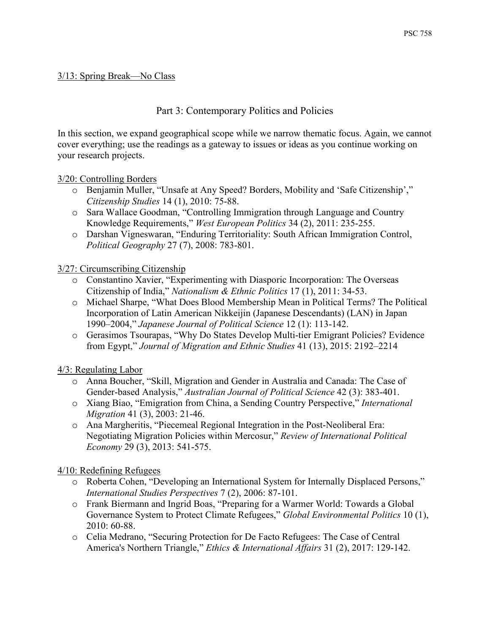#### 3/13: Spring Break—No Class

# Part 3: Contemporary Politics and Policies

In this section, we expand geographical scope while we narrow thematic focus. Again, we cannot cover everything; use the readings as a gateway to issues or ideas as you continue working on your research projects.

#### 3/20: Controlling Borders

- o Benjamin Muller, "Unsafe at Any Speed? Borders, Mobility and 'Safe Citizenship'," *Citizenship Studies* 14 (1), 2010: 75-88.
- o Sara Wallace Goodman, "Controlling Immigration through Language and Country Knowledge Requirements," *West European Politics* 34 (2), 2011: 235-255.
- o Darshan Vigneswaran, "Enduring Territoriality: South African Immigration Control, *Political Geography* 27 (7), 2008: 783-801.

#### 3/27: Circumscribing Citizenship

- o Constantino Xavier, "Experimenting with Diasporic Incorporation: The Overseas Citizenship of India," *Nationalism & Ethnic Politics* 17 (1), 2011: 34-53.
- o Michael Sharpe, "What Does Blood Membership Mean in Political Terms? The Political Incorporation of Latin American Nikkeijin (Japanese Descendants) (LAN) in Japan 1990–2004," *Japanese Journal of Political Science* 12 (1): 113-142.
- o Gerasimos Tsourapas, "Why Do States Develop Multi-tier Emigrant Policies? Evidence from Egypt," *Journal of Migration and Ethnic Studies* 41 (13), 2015: 2192–2214

## 4/3: Regulating Labor

- o Anna Boucher, "Skill, Migration and Gender in Australia and Canada: The Case of Gender-based Analysis," *Australian Journal of Political Science* 42 (3): 383-401.
- o Xiang Biao, "Emigration from China, a Sending Country Perspective," *International Migration* 41 (3), 2003: 21-46.
- o Ana Margheritis, "Piecemeal Regional Integration in the Post-Neoliberal Era: Negotiating Migration Policies within Mercosur," *Review of International Political Economy* 29 (3), 2013: 541-575.

## 4/10: Redefining Refugees

- o Roberta Cohen, "Developing an International System for Internally Displaced Persons," *International Studies Perspectives* 7 (2), 2006: 87-101.
- o Frank Biermann and Ingrid Boas, "Preparing for a Warmer World: Towards a Global Governance System to Protect Climate Refugees," *Global Environmental Politics* 10 (1), 2010: 60-88.
- o Celia Medrano, "Securing Protection for De Facto Refugees: The Case of Central America's Northern Triangle," *Ethics & International Affairs* 31 (2), 2017: 129-142.